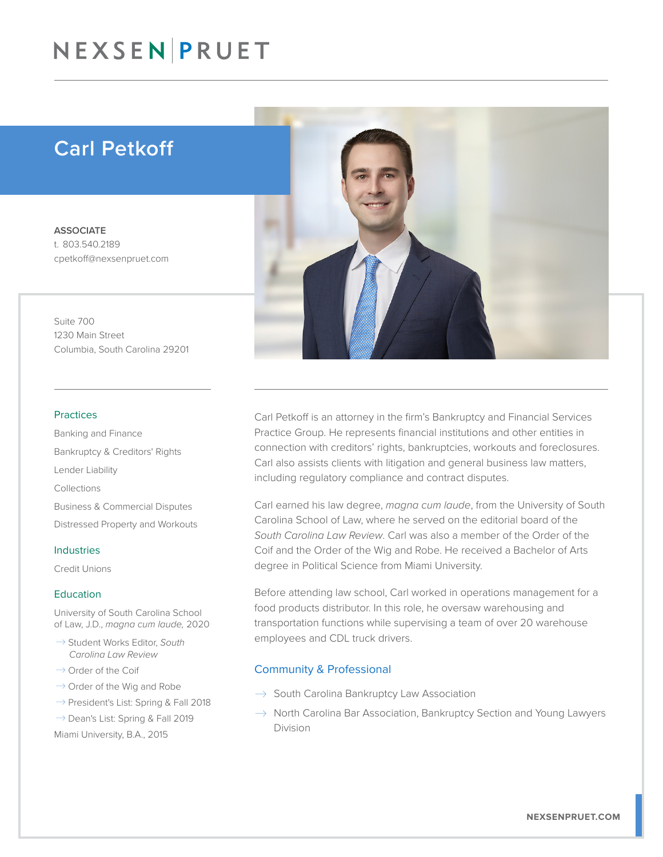## NEXSEN PRUET

### Carl Petkoff

**ASSOCIATE** t. 803.540.2189 cpetkoff@nexsenpruet.com

Suite 700 1230 Main Street Columbia, South Carolina 29201

#### Practices

Banking and Finance Bankruptcy & Creditors' Rights Lender Liability Collections Business & Commercial Disputes Distressed Property and Workouts

#### Industries

Credit Unions

#### Education

University of South Carolina School of Law, J.D., *magna cum laude,* 2020

- � Student Works Editor, *South Carolina Law Review*
- $\rightarrow$  Order of the Coif
- $\rightarrow$  Order of the Wig and Robe
- $\rightarrow$  President's List: Spring & Fall 2018
- $\rightarrow$  Dean's List: Spring & Fall 2019

Miami University, B.A., 2015



Carl Petkoff is an attorney in the firm's Bankruptcy and Financial Services Practice Group. He represents financial institutions and other entities in connection with creditors' rights, bankruptcies, workouts and foreclosures. Carl also assists clients with litigation and general business law matters, including regulatory compliance and contract disputes.

Carl earned his law degree, *magna cum laude*, from the University of South Carolina School of Law, where he served on the editorial board of the *South Carolina Law Review*. Carl was also a member of the Order of the Coif and the Order of the Wig and Robe. He received a Bachelor of Arts degree in Political Science from Miami University.

Before attending law school, Carl worked in operations management for a food products distributor. In this role, he oversaw warehousing and transportation functions while supervising a team of over 20 warehouse employees and CDL truck drivers.

#### Community & Professional

- $\rightarrow$  South Carolina Bankruptcy Law Association
- $\rightarrow$  North Carolina Bar Association, Bankruptcy Section and Young Lawyers Division